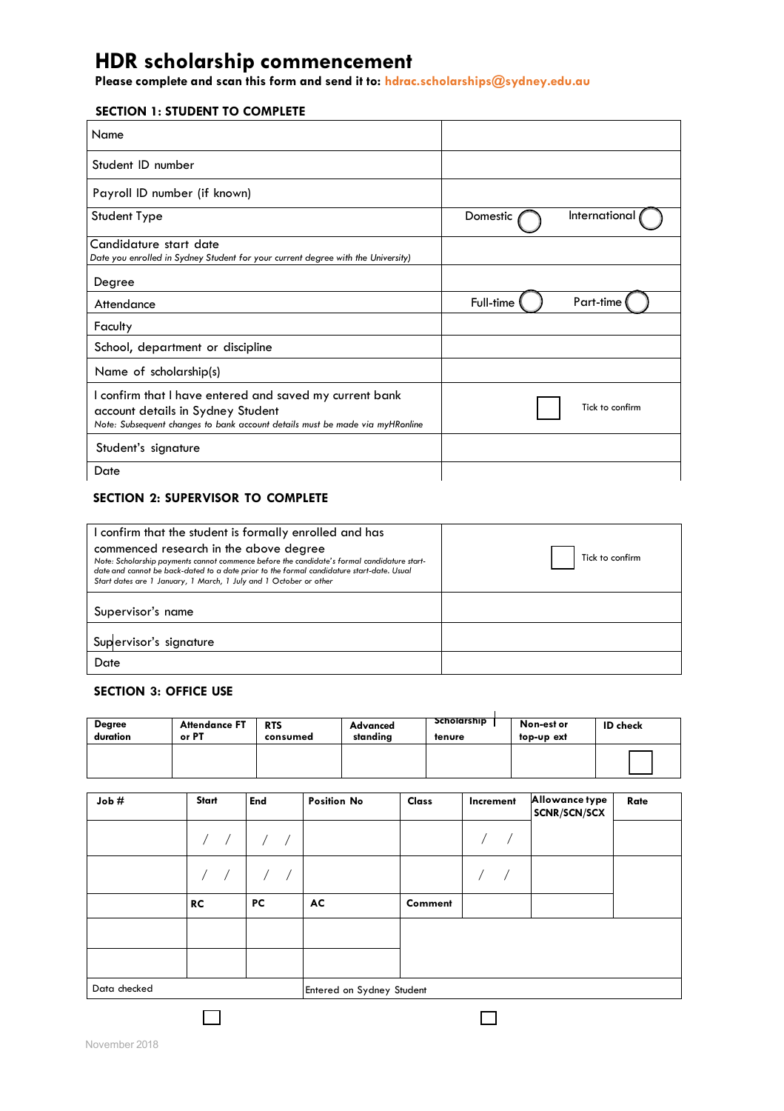# **HDR scholarship commencement**

**Please complete and scan this form and send it to: [hdrac.scholarships@sydney.edu.au](mailto:hdrac.scholarships@sydney.edu.au)**

### **SECTION 1: STUDENT TO COMPLETE**

| Name                                                                                                                                                                         |                           |
|------------------------------------------------------------------------------------------------------------------------------------------------------------------------------|---------------------------|
| Student ID number                                                                                                                                                            |                           |
| Payroll ID number (if known)                                                                                                                                                 |                           |
| Student Type                                                                                                                                                                 | International<br>Domestic |
| Candidature start date<br>Date you enrolled in Sydney Student for your current degree with the University)                                                                   |                           |
| Degree                                                                                                                                                                       |                           |
| Attendance                                                                                                                                                                   | Part-time<br>Full-time    |
| Faculty                                                                                                                                                                      |                           |
| School, department or discipline                                                                                                                                             |                           |
| Name of scholarship(s)                                                                                                                                                       |                           |
| I confirm that I have entered and saved my current bank<br>account details in Sydney Student<br>Note: Subsequent changes to bank account details must be made via myHRonline | Tick to confirm           |
| Student's signature                                                                                                                                                          |                           |
| Date                                                                                                                                                                         |                           |

### **SECTION 2: SUPERVISOR TO COMPLETE**

| confirm that the student is formally enrolled and has                                                                                                                                                                                                                                                   |                 |
|---------------------------------------------------------------------------------------------------------------------------------------------------------------------------------------------------------------------------------------------------------------------------------------------------------|-----------------|
| commenced research in the above degree<br>Note: Scholarship payments cannot commence before the candidate's formal candidature start-<br>date and cannot be back-dated to a date prior to the formal candidature start-date. Usual<br>Start dates are 1 January, 1 March, 1 July and 1 October or other | Tick to confirm |
| Supervisor's name                                                                                                                                                                                                                                                                                       |                 |
| Supervisor's signature                                                                                                                                                                                                                                                                                  |                 |
| Date                                                                                                                                                                                                                                                                                                    |                 |

## **SECTION 3: OFFICE USE**

| <b>Degree</b> | <b>Attendance FT</b> | <b>RTS</b> | Advanced | Scholarship | Non-est or | <b>ID</b> check |
|---------------|----------------------|------------|----------|-------------|------------|-----------------|
| duration      | or PT                | consumed   | standina | tenure      | top-up ext |                 |
|               |                      |            |          |             |            |                 |

| Job #        | Start     | End | <b>Position No</b>        | Class   | Increment | Allowance type<br>SCNR/SCN/SCX | Rate |
|--------------|-----------|-----|---------------------------|---------|-----------|--------------------------------|------|
|              | $/$ /     |     |                           |         |           |                                |      |
|              | $/$ /     |     |                           |         |           |                                |      |
|              | <b>RC</b> | PC  | AC                        | Comment |           |                                |      |
|              |           |     |                           |         |           |                                |      |
|              |           |     |                           |         |           |                                |      |
| Data checked |           |     | Entered on Sydney Student |         |           |                                |      |

 $\Box$ 

 $\Box$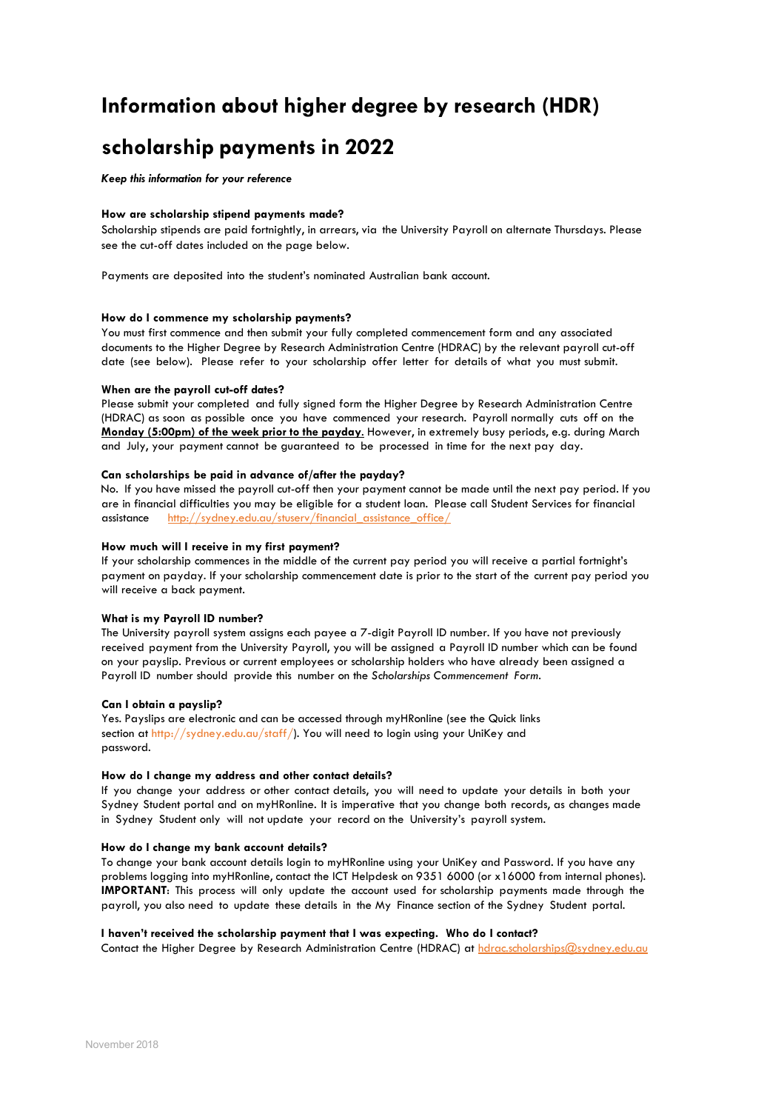# **Information about higher degree by research (HDR)**

# **scholarship payments in 2022**

*Keep this information for your reference*

#### **How are scholarship stipend payments made?**

Scholarship stipends are paid fortnightly, in arrears, via the University Payroll on alternate Thursdays. Please see the cut-off dates included on the page below.

Payments are deposited into the student's nominated Australian bank account.

#### **How do I commence my scholarship payments?**

You must first commence and then submit your fully completed commencement form and any associated documents to the Higher Degree by Research Administration Centre (HDRAC) by the relevant payroll cut-off date (see below). Please refer to your scholarship offer letter for details of what you must submit.

#### **When are the payroll cut-off dates?**

Please submit your completed and fully signed form the Higher Degree by Research Administration Centre (HDRAC) as soon as possible once you have commenced your research. Payroll normally cuts off on the **Monday (5:00pm) of the week prior to the payday**. However, in extremely busy periods, e.g. during March and July, your payment cannot be guaranteed to be processed in time for the next pay day.

#### **Can scholarships be paid in advance of/after the payday?**

No. If you have missed the payroll cut-off then your payment cannot be made until the next pay period. If you are in financial difficulties you may be eligible for a student loan. Please call Student Services for financial assistance [http://sydney.edu.au/stuserv/financial\\_assistance\\_office/](http://sydney.edu.au/stuserv/financial_assistance_office/)

#### **How much will I receive in my first payment?**

If your scholarship commences in the middle of the current pay period you will receive a partial fortnight's payment on payday. If your scholarship commencement date is prior to the start of the current pay period you will receive a back payment.

#### **What is my Payroll ID number?**

The University payroll system assigns each payee a 7-digit Payroll ID number. If you have not previously received payment from the University Payroll, you will be assigned a Payroll ID number which can be found on your payslip. Previous or current employees or scholarship holders who have already been assigned a Payroll ID number should provide this number on the *Scholarships Commencement Form*.

#### **Can I obtain a payslip?**

Yes. Payslips are electronic and can be accessed through myHRonline (see the Quick links section at [http://sydney.edu.au/staff/\). Yo](http://sydney.edu.au/staff/))u will need to login using your UniKey and password.

#### **How do I change my address and other contact details?**

If you change your address or other contact details, you will need to update your details in both your Sydney Student portal and on myHRonline. It is imperative that you change both records, as changes made in Sydney Student only will not update your record on the University's payroll system.

#### **How do I change my bank account details?**

To change your bank account details login to myHRonline using your UniKey and Password. If you have any problems logging into myHRonline, contact the ICT Helpdesk on 9351 6000 (or x16000 from internal phones). **IMPORTANT**: This process will only update the account used for scholarship payments made through the payroll, you also need to update these details in the My Finance section of the Sydney Student portal.

#### **I haven't received the scholarship payment that I was expecting. Who do I contact?**

Contact the Higher Degree by Research Administration Centre (HDRAC) at [hdrac.scholarships@sydney.edu.au](mailto:hdrac.scholarships@sydney.edu.au)